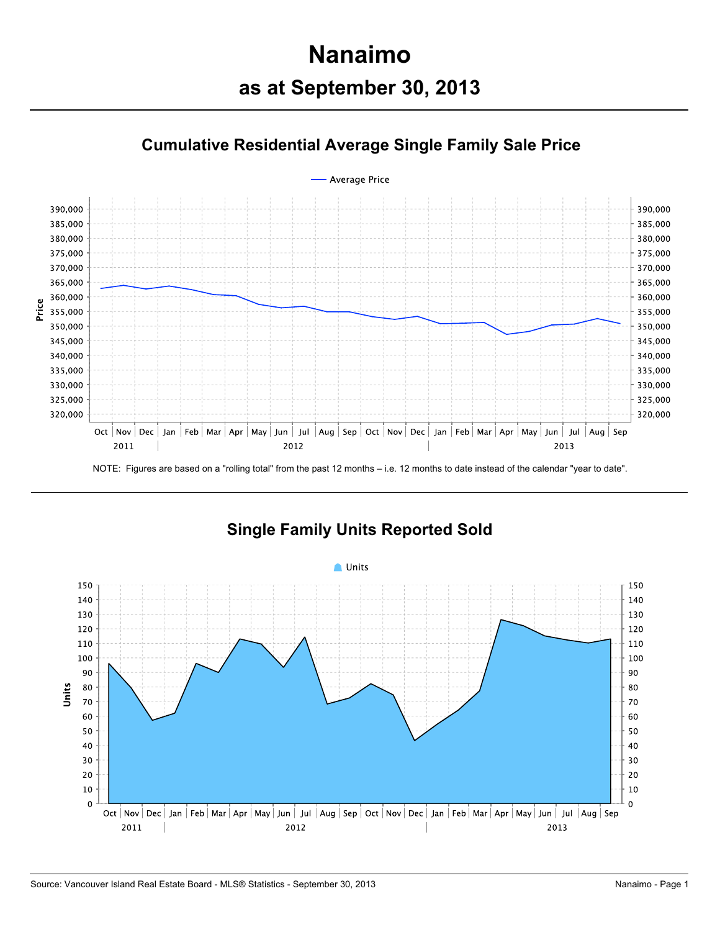## **Nanaimo as at September 30, 2013**





NOTE: Figures are based on a "rolling total" from the past 12 months – i.e. 12 months to date instead of the calendar "year to date".



## **Single Family Units Reported Sold**